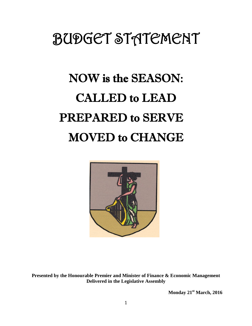## BUDGET STATEMENT

# NOW is the SEASON: CALLED to LEAD PREPARED to SERVE MOVED to CHANGE



**Presented by the Honourable Premier and Minister of Finance & Economic Management Delivered in the Legislative Assembly**

**Monday 21st March, 2016**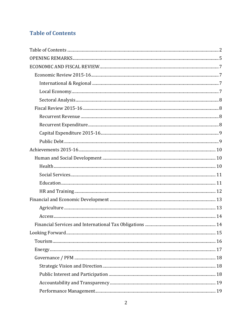## <span id="page-1-0"></span>**Table of Contents**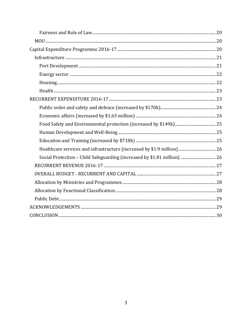| Healthcare services and infrastructure (increased by \$1.9 million) 26   |  |
|--------------------------------------------------------------------------|--|
| Social Protection - Child Safeguarding (increased by \$1.81 million)  26 |  |
|                                                                          |  |
|                                                                          |  |
|                                                                          |  |
|                                                                          |  |
|                                                                          |  |
|                                                                          |  |
|                                                                          |  |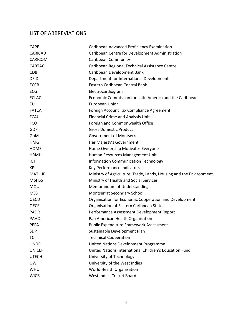#### LIST OF ABBREVIATIONS

| <b>CAPE</b>    | Caribbean Advanced Proficiency Examination                         |
|----------------|--------------------------------------------------------------------|
| <b>CARICAD</b> | Caribbean Centre for Development Administration                    |
| CARICOM        | Caribbean Community                                                |
| <b>CARTAC</b>  | Caribbean Regional Technical Assistance Centre                     |
| <b>CDB</b>     | Caribbean Development Bank                                         |
| <b>DFID</b>    | Department for International Development                           |
| <b>ECCB</b>    | Eastern Caribbean Central Bank                                     |
| <b>ECG</b>     | Electrocardiogram                                                  |
| <b>ECLAC</b>   | Economic Commission for Latin America and the Caribbean            |
| EU             | <b>European Union</b>                                              |
| <b>FATCA</b>   | Foreign Account Tax Compliance Agreement                           |
| <b>FCAU</b>    | Financial Crime and Analysis Unit                                  |
| <b>FCO</b>     | Foreign and Commonwealth Office                                    |
| <b>GDP</b>     | <b>Gross Domestic Product</b>                                      |
| GoM            | <b>Government of Montserrat</b>                                    |
| <b>HMG</b>     | Her Majesty's Government                                           |
| <b>HOME</b>    | Home Ownership Motivates Everyone                                  |
| <b>HRMU</b>    | Human Resources Management Unit                                    |
| <b>ICT</b>     | <b>Information Communication Technology</b>                        |
| <b>KPI</b>     | Key Performance Indicators                                         |
| <b>MATLHE</b>  | Ministry of Agriculture, Trade, Lands, Housing and the Environment |
| <b>MoHSS</b>   | Ministry of Health and Social Services                             |
| MOU            | Memorandum of Understanding                                        |
| <b>MSS</b>     | Montserrat Secondary School                                        |
| <b>OECD</b>    | Organisation for Economic Cooperation and Development              |
| <b>OECS</b>    | Organisation of Eastern Caribbean States                           |
| <b>PADR</b>    | Performance Assessment Development Report                          |
| <b>PAHO</b>    | Pan American Health Organisation                                   |
| <b>PEFA</b>    | Public Expenditure Framework Assessment                            |
| SDP            | Sustainable Development Plan                                       |
| <b>TC</b>      | <b>Technical Cooperation</b>                                       |
| <b>UNDP</b>    | United Nations Development Programme                               |
| <b>UNICEF</b>  | United Nations International Children's Education Fund             |
| <b>UTECH</b>   | University of Technology                                           |
| <b>UWI</b>     | University of the West Indies                                      |
| <b>WHO</b>     | World Health Organisation                                          |
| <b>WICB</b>    | West Indies Cricket Board                                          |
|                |                                                                    |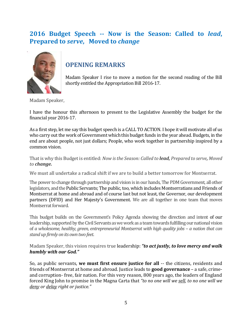## **2016 Budget Speech -- Now is the Season: Called to** *lead***, Prepared to** *serve***, Moved to** *change*



## <span id="page-4-0"></span>**OPENING REMARKS**

Madam Speaker I rise to move a motion for the second reading of the Bill shortly entitled the Appropriation Bill 2016-17.

Madam Speaker,

I have the honour this afternoon to present to the Legislative Assembly the budget for the financial year 2016-17.

As a first step, let me say this budget speech is a CALL TO ACTION. I hope it will motivate all of us who carry out the work of Government which this budget funds in the year ahead. Budgets, in the end are about people, not just dollars; People, who work together in partnership inspired by a common vision.

That is why this Budget is entitled: *Now is the Season: Called to lead, Prepared to serve, Moved to change.*

We must all undertake a radical shift if we are to build a better tomorrow for Montserrat.

The power to change through partnership and vision is in our hands, The PDM Government, all other legislators, and the Public Servants; The public, too, which includes Montserratians and Friends of Montserrat at home and abroad and of course last but not least, the Governor, our development partners (DFID) and Her Majesty's Government. We are all together in one team that moves Montserrat forward.

This budget builds on the Government's Policy Agenda showing the direction and intent of our leadership, supported by the Civil Servants as we work as a team towards fulfilling our national vision of *a wholesome, healthy, green, entrepreneurial Montserrat with high quality jobs - a nation that can stand up firmly on its own two feet*.

Madam Speaker, this vision requires true leadership: *"to act justly, to love mercy and walk humbly with our God."*

So, as public servants, **we must first ensure justice for all** -- the citizens, residents and friends of Montserrat at home and abroad. Justice leads to **good governance** – a safe, crimeand corruption- free, fair nation. For this very reason, 800 years ago, the leaders of England forced King John to promise in the Magna Carta that *"to no one will we sell, to no one will we deny or delay right or justice."*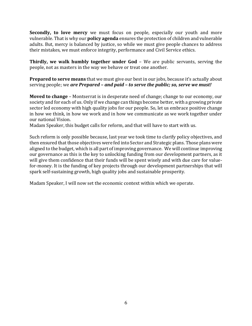**Secondly, to love mercy** we must focus on people, especially our youth and more vulnerable. That is why our **policy agenda** ensures the protection of children and vulnerable adults. But, mercy is balanced by justice, so while we must give people chances to address their mistakes, we must enforce integrity, performance and Civil Service ethics.

**Thirdly, we walk humbly together under God** – We are public servants, serving the people, not as masters in the way we behave or treat one another.

**Prepared to serve means** that we must give our best in our jobs, because it's actually about serving people; we *are Prepared – and paid – to serve the public; so, serve we must!*

**Moved to change** – Montserrat is in desperate need of change; change to our economy, our society and for each of us. Only if we change can things become better, with a growing private sector led economy with high quality jobs for our people. So, let us embrace positive change in how we think, in how we work and in how we communicate as we work together under our national Vision.

Madam Speaker, this budget calls for reform, and that will have to start with us.

Such reform is only possible because, last year we took time to clarify policy objectives, and then ensured that those objectives were fed into Sector and Strategic plans. Those plans were aligned to the budget, which is all part of improving governance. We will continue improving our governance as this is the key to unlocking funding from our development partners, as it will give them confidence that their funds will be spent wisely and with due care for valuefor-money. It is the funding of key projects through our development partnerships that will spark self-sustaining growth, high quality jobs and sustainable prosperity.

Madam Speaker, I will now set the economic context within which we operate.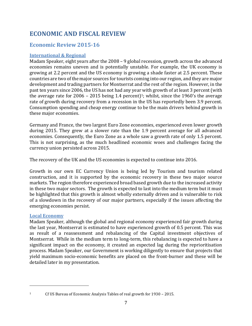## <span id="page-6-0"></span>**ECONOMIC AND FISCAL REVIEW**

## <span id="page-6-1"></span>**Economic Review 2015-16**

#### <span id="page-6-2"></span>**International & Regional**

Madam Speaker, eight years after the 2008 – 9 global recession, growth across the advanced economies remains uneven and is potentially unstable. For example, the UK economy is growing at 2.2 percent and the US economy is growing a shade faster at 2.5 percent. These countries are two of the major sources for tourists coming into our region, and they are major development and trading partners for Montserrat and the rest of the region. However, in the past ten years since 2006, the US has not had any year with growth of at least 3 percent (with the average rate for 2006 – 2015 being 1.4 percent)<sup>1</sup>; whilst, since the 1960's the average rate of growth during recovery from a recession in the US has reportedly been 3.9 percent. Consumption spending and cheap energy continue to be the main drivers behind growth in these major economies.

Germany and France, the two largest Euro Zone economies, experienced even lower growth during 2015. They grew at a slower rate than the 1.9 percent average for all advanced economies. Consequently, the Euro Zone as a whole saw a growth rate of only 1.5 percent. This is not surprising, as the much headlined economic woes and challenges facing the currency union persisted across 2015.

The recovery of the UK and the US economies is expected to continue into 2016.

Growth in our own EC Currency Union is being led by Tourism and tourism related construction, and it is supported by the economic recovery in these two major source markets. The region therefore experienced broad based growth due to the increased activity in these two major sectors. The growth is expected to last into the medium term but it must be highlighted that this growth is almost wholly externally driven and is vulnerable to risk of a slowdown in the recovery of our major partners, especially if the issues affecting the emerging economies persist.

#### <span id="page-6-3"></span>**Local Economy**

Madam Speaker, although the global and regional economy experienced fair growth during the last year, Montserrat is estimated to have experienced growth of 0.5 percent. This was as result of a reassessment and rebalancing of the Capital investment objectives of Montserrat. While in the medium term to long-term, this rebalancing is expected to have a significant impact on the economy, it created an expected lag during the reprioritisation process. Madam Speaker, our Government is working diligently to ensure that projects that yield maximum socio-economic benefits are placed on the front-burner and these will be detailed later in my presentation.

 $\overline{\phantom{a}}$ 

<sup>&</sup>lt;sup>1</sup> Cf US Bureau of Economic Analysis Tables of real growth for 1930 - 2015.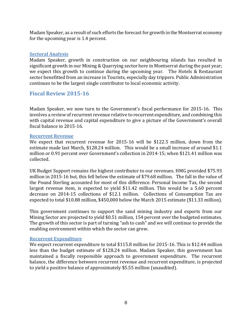Madam Speaker, as a result of such efforts the forecast for growth in the Montserrat economy for the upcoming year is 1.4 percent.

#### <span id="page-7-0"></span>**Sectoral Analysis**

Madam Speaker, growth in construction on our neighbouring islands has resulted in significant growth in our Mining & Quarrying sector here in Montserrat during the past year; we expect this growth to continue during the upcoming year. The Hotels & Restaurant sector benefitted from an increase in Tourists, especially day trippers. Public Administration continues to be the largest single contributor to local economic activity.

#### <span id="page-7-1"></span>**Fiscal Review 2015-16**

Madam Speaker, we now turn to the Government's fiscal performance for 2015-16. This involves a review of recurrent revenue relative to recurrent expenditure, and combining this with capital revenue and capital expenditure to give a picture of the Government's overall fiscal balance in 2015-16.

#### <span id="page-7-2"></span>**Recurrent Revenue**

We expect that recurrent revenue for 2015-16 will be \$122.5 million, down from the estimate made last March, \$128.24 million. This would be a small increase of around \$1.1 million or 0.91 percent over Government's collection in 2014-15; when \$121.41 million was collected.

UK Budget Support remains the highest contributor to our revenues. HMG provided \$75.93 million in 2015-16 but, this fell below the estimate of \$79.68 million. The fall in the value of the Pound Sterling accounted for most of this difference. Personal Income Tax, the second largest revenue item, is expected to yield \$11.42 million. This would be a 5.60 percent decrease on 2014-15 collections of \$12.1 million. Collections of Consumption Tax are expected to total \$10.88 million, \$450,000 below the March 2015 estimate (\$11.33 million).

This government continues to support the sand mining industry and exports from our Mining Sector are projected to yield \$0.51 million, 154 percent over the budgeted estimates. The growth of this sector is part of turning "ash to cash" and we will continue to provide the enabling environment within which the sector can grow.

#### <span id="page-7-3"></span>**Recurrent Expenditure**

We expect recurrent expenditure to total \$115.8 million for 2015-16. This is \$12.44 million less than the budget estimate of \$128.24 million. Madam Speaker, this government has maintained a fiscally responsible approach to government expenditure. The recurrent balance, the difference between recurrent revenue and recurrent expenditure, is projected to yield a positive balance of approximately \$5.55 million (unaudited).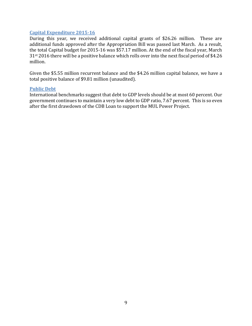#### <span id="page-8-0"></span>**Capital Expenditure 2015-16**

During this year, we received additional capital grants of \$26.26 million. These are additional funds approved after the Appropriation Bill was passed last March. As a result, the total Capital budget for 2015-16 was \$57.17 million. At the end of the fiscal year, March 31st 2016 there will be a positive balance which rolls over into the next fiscal period of \$4.26 million.

Given the \$5.55 million recurrent balance and the \$4.26 million capital balance, we have a total positive balance of \$9.81 million (unaudited).

#### <span id="page-8-1"></span>**Public Debt**

International benchmarks suggest that debt to GDP levels should be at most 60 percent. Our government continues to maintain a very low debt to GDP ratio, 7.67 percent. This is so even after the first drawdown of the CDB Loan to support the MUL Power Project.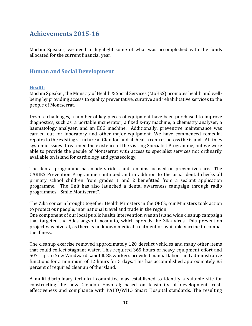## <span id="page-9-0"></span>**Achievements 2015-16**

Madam Speaker, we need to highlight some of what was accomplished with the funds allocated for the current financial year.

#### <span id="page-9-1"></span>**Human and Social Development**

#### <span id="page-9-2"></span>**Health**

Madam Speaker, the Ministry of Health & Social Services (MoHSS) promotes health and wellbeing by providing access to quality preventative, curative and rehabilitative services to the people of Montserrat.

Despite challenges, a number of key pieces of equipment have been purchased to improve diagnostics, such as: a portable incinerator, a fixed x-ray machine, a chemistry analyser, a haematology analyser, and an ECG machine. Additionally, preventive maintenance was carried out for laboratory and other major equipment. We have commenced remedial repairs to the existing structure at Glendon and all health centres across the island. At times systemic issues threatened the existence of the visiting Specialist Programme, but we were able to provide the people of Montserrat with access to specialist services not ordinarily available on island for cardiology and gynaecology.

The dental programme has made strides, and remains focused on preventive care. The CARIES Prevention Programme continued and in addition to the usual dental checks all primary school children from grades 1 and 2 benefitted from a sealant application programme. The Unit has also launched a dental awareness campaign through radio programmes, "Smile Montserrat".

The Zika concern brought together Health Ministers in the OECS; our Ministers took action to protect our people, international travel and trade in the region.

One component of our local public health intervention was an island wide cleanup campaign that targeted the Ades aegypti mosquito, which spreads the Zika virus. This prevention project was pivotal, as there is no known medical treatment or available vaccine to combat the illness.

The cleanup exercise removed approximately 120 derelict vehicles and many other items that could collect stagnant water. This required 365 hours of heavy equipment effort and 507 trips to New Windward Landfill. 85 workers provided manual labor and administrative functions for a minimum of 12 hours for 5 days. This has accomplished approximately 85 percent of required cleanup of the island.

A multi-disciplinary technical committee was established to identify a suitable site for constructing the new Glendon Hospital; based on feasibility of development, costeffectiveness and compliance with PAHO/WHO Smart Hospital standards. The resulting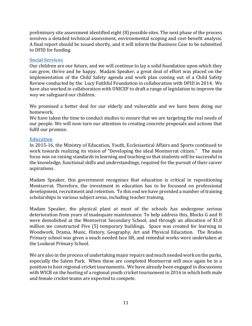preliminary site assessment identified eight (8) possible sites. The next phase of the process involves a detailed technical assessment, environmental scoping and cost-benefit analysis. A final report should be issued shortly, and it will inform the Business Case to be submitted to DFID for funding.

#### <span id="page-10-0"></span>**Social Services**

Our children are our future, and we will continue to lay a solid foundation upon which they can grow, thrive and be happy. Madam Speaker, a great deal of effort was placed on the implementation of the Child Safety agenda and work plan coming out of a Child Safety Review conducted by the Lucy Faithful Foundation in collaboration with DFID in 2014. We have also worked in collaboration with UNICEF to draft a range of legislation to improve the way we safeguard our children.

We promised a better deal for our elderly and vulnerable and we have been doing our homework.

We have taken the time to conduct studies to ensure that we are targeting the real needs of our people. We will now turn our attention to creating concrete proposals and actions that fulfil our promise.

#### <span id="page-10-1"></span>**Education**

In 2015-16, the Ministry of Education, Youth, Ecclesiastical Affairs and Sports continued to work towards realizing its vision of "Developing the ideal Montserrat citizen." The main focus was on raising standards in learning and teaching so that students will be successful in the knowledge, functional skills and understandings, required for the pursuit of their career aspirations.

Madam Speaker, this government recognises that education is critical in repositioning Montserrat. Therefore, the investment in education has to be focussed on professional development, recruitment and retention. To this end we have provided a number of training scholarships in various subject areas, including teacher training.

Madam Speaker, the physical plant at most of the schools has undergone serious deterioration from years of inadequate maintenance. To help address this, Blocks G and H were demolished at the Montserrat Secondary School, and through an allocation of \$1.0 million we constructed Five (5) temporary buildings. Space was created for learning in Woodwork, Drama, Music, History, Geography, Art and Physical Education. The Brades Primary school was given a much needed face lift, and remedial works were undertaken at the Lookout Primary School.

We are also in the process of undertaking major repairs and much needed work on the parks, especially the Salem Park. When these are completed Montserrat will once again be in a position to host regional cricket tournaments. We have already been engaged in discussions with WICB on the hosting of a regional youth cricket tournament in 2016 in which both male and female cricket teams are expected to compete.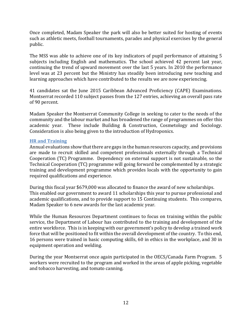Once completed, Madam Speaker the park will also be better suited for hosting of events such as athletic meets, football tournaments, parades and physical exercises by the general public.

The MSS was able to achieve one of its key indicators of pupil performance of attaining 5 subjects including English and mathematics. The school achieved 42 percent last year, continuing the trend of upward movement over the last 5 years. In 2010 the performance level was at 23 percent but the Ministry has steadily been introducing new teaching and learning approaches which have contributed to the results we are now experiencing.

41 candidates sat the June 2015 Caribbean Advanced Proficiency (CAPE) Examinations. Montserrat recorded 110 subject passes from the 127 entries, achieving an overall pass rate of 90 percent.

Madam Speaker the Montserrat Community College in seeking to cater to the needs of the community and the labour market and has broadened the range of programmes on offer this academic year. These include Building & Construction, Cosmetology and Sociology. Consideration is also being given to the introduction of Hydroponics.

#### <span id="page-11-0"></span>**HR and Training**

Annual evaluations show that there are gaps in the human resources capacity, and provisions are made to recruit skilled and competent professionals externally through a Technical Cooperation (TC) Programme. Dependency on external support is not sustainable, so the Technical Cooperation (TC) programme will going forward be complemented by a strategic training and development programme which provides locals with the opportunity to gain required qualifications and experience.

During this fiscal year \$679,000 was allocated to finance the award of new scholarships. This enabled our government to award 11 scholarships this year to pursue professional and academic qualifications, and to provide support to 15 Continuing students. This compares, Madam Speaker to 6 new awards for the last academic year.

While the Human Resources Department continues to focus on training within the public service, the Department of Labour has contributed to the training and development of the entire workforce. This is in keeping with our government's policy to develop a trained work force that will be positioned to fit within the overall development of the country. To this end, 16 persons were trained in basic computing skills, 60 in ethics in the workplace, and 30 in equipment operation and welding.

During the year Montserrat once again participated in the OECS/Canada Farm Program. 5 workers were recruited to the program and worked in the areas of apple picking, vegetable and tobacco harvesting, and tomato canning.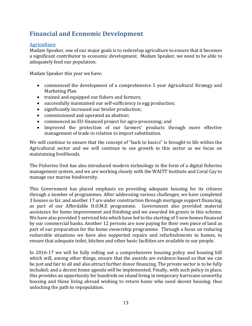## <span id="page-12-0"></span>**Financial and Economic Development**

#### <span id="page-12-1"></span>**Agriculture**

Madam Speaker, one of our major goals is to redevelop agriculture to ensure that it becomes a significant contributor to economic development. Madam Speaker, we need to be able to adequately feed our population.

Madam Speaker this year we have:

- commenced the development of a comprehensive 5 year Agricultural Strategy and Marketing Plan
- trained and equipped our fishers and farmers;
- successfully maintained our self-sufficiency in egg production;
- significantly increased our broiler production;
- commissioned and operated an abattoir;
- commenced an EU-financed project for agro-processing; and
- Improved the protection of our farmers' products through more effective management of trade in relation to import substitution.

We will continue to ensure that the concept of "back to basics" is brought to life within the Agricultural sector and we will continue to see growth in this sector as we focus on maintaining livelihoods.

The Fisheries Unit has also introduced modern technology in the form of a digital fisheries management system, and we are working closely with the WAITT Institute and Coral Cay to manage our marine biodiversity.

This Government has placed emphasis on providing adequate housing for its citizens through a number of programmes. After addressing various challenges, we have completed 3 houses so far, and another 17 are under construction through mortgage support financing, as part of our Affordable H.O.M.E programme. Government also provided material assistance for home improvement and finishing and we awarded 66 grants in this scheme. We have also provided 5 serviced lots which have led to the starting of 5 new homes financed by our commercial banks. Another 12 persons are now paying for their own piece of land as part of our preparation for the home ownership programme. Through a focus on reducing vulnerable situations we have also supported repairs and refurbishments to homes, to ensure that adequate toilet, kitchen and other basic facilities are available to our people.

In 2016-17 we will be fully rolling out a comprehensive housing policy and housing bill which will, among other things, ensure that the awards are evidence-based so that we can be just and fair to all and also attract further donor financing. The private sector is to be fully included; and a decent home agenda will be implemented. Finally, with such policy in place, this provides an opportunity for hundreds on island living in temporary hurricane unworthy housing and those living abroad wishing to return home who need decent housing; thus unlocking the path to repopulation.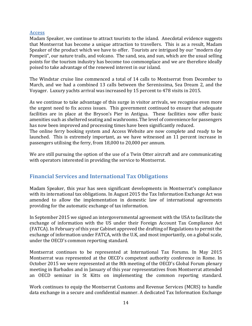#### <span id="page-13-0"></span>**Access**

Madam Speaker, we continue to attract tourists to the island. Anecdotal evidence suggests that Montserrat has become a unique attraction to travellers. This is as a result, Madam Speaker of the product which we have to offer. Tourists are intrigued by our "modern day Pompeii", our nature trails, and volcano. The sand, sea, and sun, which are the usual selling points for the tourism industry has become too commonplace and we are therefore ideally poised to take advantage of the renewed interest in our island.

The Windstar cruise line commenced a total of 14 calls to Montserrat from December to March, and we had a combined 13 calls between the Serenissima, Sea Dream 2, and the Voyager. Luxury yachts arrival was increased by 15 percent to 478 visits in 2015.

As we continue to take advantage of this surge in visitor arrivals, we recognise even more the urgent need to fix access issues. This government continued to ensure that adequate facilities are in place at the Bryson's Pier in Antigua. These facilities now offer basic amenities such as sheltered seating and washrooms. The level of convenience for passengers has now been improved and processing times have been significantly reduced.

The online ferry booking system and Access Website are now complete and ready to be launched. This is extremely important, as we have witnessed an 11 percent increase in passengers utilising the ferry, from 18,000 to 20,000 per annum.

We are still pursuing the option of the use of a Twin Otter aircraft and are communicating with operators interested in providing the service to Montserrat.

#### <span id="page-13-1"></span>**Financial Services and International Tax Obligations**

Madam Speaker, this year has seen significant developments in Montserrat's compliance with its international tax obligations. In August 2015 the Tax Information Exchange Act was amended to allow the implementation in domestic law of international agreements providing for the automatic exchange of tax information.

In September 2015 we signed an intergovernmental agreement with the USA to facilitate the exchange of information with the US under their Foreign Account Tax Compliance Act (FATCA). In February of this year Cabinet approved the drafting of Regulations to permit the exchange of information under FATCA, with the U.K, and most importantly, on a global scale, under the OECD's common reporting standard.

Montserrat continues to be represented at International Tax Forums. In May 2015 Montserrat was represented at the OECD's competent authority conference in Rome. In October 2015 we were represented at the 8th meeting of the OECD's Global Forum plenary meeting in Barbados and in January of this year representatives from Montserrat attended an OECD seminar in St Kitts on implementing the common reporting standard.

Work continues to equip the Montserrat Customs and Revenue Services (MCRS) to handle data exchange in a secure and confidential manner. A dedicated Tax Information Exchange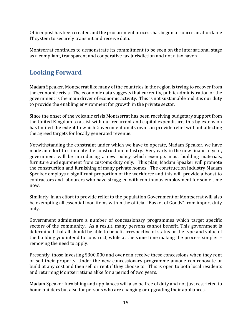Officer post has been created and the procurement process has begun to source an affordable IT system to securely transmit and receive data.

Montserrat continues to demonstrate its commitment to be seen on the international stage as a compliant, transparent and cooperative tax jurisdiction and not a tax haven.

## <span id="page-14-0"></span>**Looking Forward**

Madam Speaker, Montserrat like many of the countries in the region is trying to recover from the economic crisis. The economic data suggests that currently, public administration or the government is the main driver of economic activity. This is not sustainable and it is our duty to provide the enabling environment for growth in the private sector.

Since the onset of the volcanic crisis Montserrat has been receiving budgetary support from the United Kingdom to assist with our recurrent and capital expenditure; this by extension has limited the extent to which Government on its own can provide relief without affecting the agreed targets for locally generated revenue.

Notwithstanding the constraint under which we have to operate, Madam Speaker, we have made an effort to stimulate the construction industry. Very early in the new financial year, government will be introducing a new policy which exempts most building materials, furniture and equipment from customs duty only. This plan, Madam Speaker will promote the construction and furnishing of many private homes. The construction industry Madam Speaker employs a significant proportion of the workforce and this will provide a boost to contractors and labourers who have struggled with continuous employment for some time now.

Similarly, in an effort to provide relief to the population Government of Montserrat will also be exempting all essential food items within the official "Basket of Goods" from import duty only.

Government administers a number of concessionary programmes which target specific sectors of the community. As a result, many persons cannot benefit. This government is determined that all should be able to benefit irrespective of status or the type and value of the building you intend to construct, while at the same time making the process simpler – removing the need to apply.

Presently, those investing \$300,000 and over can receive these concessions when they rent or sell their property. Under the new concessionary programme anyone can renovate or build at any cost and then sell or rent if they choose to. This is open to both local residents and returning Montserratians alike for a period of two years.

Madam Speaker furnishing and appliances will also be free of duty and not just restricted to home builders but also for persons who are changing or upgrading their appliances.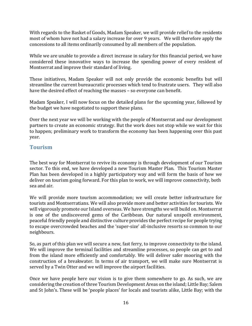With regards to the Basket of Goods, Madam Speaker, we will provide relief to the residents most of whom have not had a salary increase for over 9 years. We will therefore apply the concessions to all items ordinarily consumed by all members of the population.

While we are unable to provide a direct increase in salary for this financial period, we have considered these innovative ways to increase the spending power of every resident of Montserrat and improve their standard of living.

These initiatives, Madam Speaker will not only provide the economic benefits but will streamline the current bureaucratic processes which tend to frustrate users. They will also have the desired effect of reaching the masses – so everyone can benefit.

Madam Speaker, I will now focus on the detailed plans for the upcoming year, followed by the budget we have negotiated to support these plans.

Over the next year we will be working with the people of Montserrat and our development partners to create an economic strategy. But the work does not stop while we wait for this to happen; preliminary work to transform the economy has been happening over this past year.

#### <span id="page-15-0"></span>**Tourism**

The best way for Montserrat to revive its economy is through development of our Tourism sector. To this end, we have developed a new Tourism Master Plan. This Tourism Master Plan has been developed in a highly participatory way and will form the basis of how we deliver on tourism going forward. For this plan to work, we will improve connectivity, both sea and air.

We will provide more tourism accommodation; we will create better infrastructure for tourists and Montserratians. We will also provide more and better activities for tourists. We will vigorously promote our Island overseas. We have strengths we will build on. Montserrat is one of the undiscovered gems of the Caribbean. Our natural unspoilt environment, peaceful friendly people and distinctive culture provides the perfect recipe for people trying to escape overcrowded beaches and the 'super-size' all-inclusive resorts so common to our neighbours.

So, as part of this plan we will secure a new, fast ferry, to improve connectivity to the island. We will improve the terminal facilities and streamline processes, so people can get to and from the island more efficiently and comfortably. We will deliver safer mooring with the construction of a breakwater. In terms of air transport, we will make sure Montserrat is served by a Twin Otter and we will improve the airport facilities.

Once we have people here our vision is to give them somewhere to go. As such, we are considering the creation of three Tourism Development Areas on the island; Little Bay; Salem and St John's. These will be 'people places' for locals and tourists alike, Little Bay; with the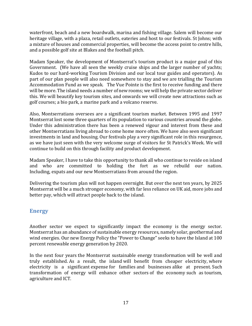waterfront, beach and a new boardwalk, marina and fishing village. Salem will become our heritage village, with a plaza, retail outlets, eateries and host to our festivals. St Johns; with a mixture of houses and commercial properties, will become the access point to centre hills, and a possible golf site at Blakes and the football pitch.

Madam Speaker, the development of Montserrat's tourism product is a major goal of this Government. (We have all seen the weekly cruise ships and the larger number of yachts; Kudos to our hard-working Tourism Division and our local tour guides and operators). As part of our plan people will also need somewhere to stay and we are trialling the Tourism Accommodation Fund as we speak. The Vue Pointe is the first to receive funding and there will be more. The island needs a number of new rooms; we will help the private sector deliver this. We will beautify key tourism sites, and onwards we will create new attractions such as golf courses; a bio park, a marine park and a volcano reserve.

Also, Montserratians oversees are a significant tourism market. Between 1995 and 1997 Montserrat lost some three quarters of its population to various countries around the globe. Under this administration there has been a renewed vigour and interest from these and other Montserratians living abroad to come home more often. We have also seen significant investments in land and housing. Our festivals play a very significant role in this resurgence, as we have just seen with the very welcome surge of visitors for St Patrick's Week. We will continue to build on this through facility and product development.

Madam Speaker, I have to take this opportunity to thank all who continue to reside on island and who are committed to holding the fort as we rebuild our nation. Including, expats and our new Montserratians from around the region.

Delivering the tourism plan will not happen overnight. But over the next ten years, by 2025 Montserrat will be a much stronger economy, with far less reliance on UK aid, more jobs and better pay, which will attract people back to the island.

## <span id="page-16-0"></span>**Energy**

Another sector we expect to significantly impact the economy is the energy sector. Montserrat has an abundance of sustainable energy resources, namely solar, geothermal and wind energies. Our new Energy Policy the "Power to Change" seeks to have the Island at 100 percent renewable energy generation by 2020.

In the next four years the Montserrat sustainable energy transformation will be well and truly established. As a result, the island will benefit from cheaper electricity, where electricity is a significant expense for families and businesses alike at present. Such transformation of energy will enhance other sectors of the economy such as tourism, agriculture and ICT.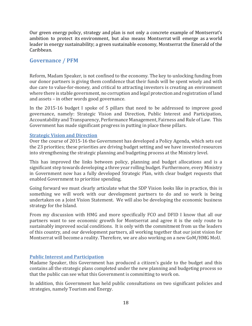Our green energy policy, strategy and plan is not only a concrete example of Montserrat's ambition to protect its environment, but also means Montserrat will emerge as a world leader in energy sustainability; a green sustainable economy, Montserrat the Emerald of the Caribbean.

#### <span id="page-17-0"></span>**Governance / PFM**

Reform, Madam Speaker, is not confined to the economy. The key to unlocking funding from our donor partners is giving them confidence that their funds will be spent wisely and with due care to value-for-money, and critical to attracting investors is creating an environment where there is stable government, no corruption and legal protection and registration of land and assets – in other words good governance.

In the 2015-16 budget I spoke of 5 pillars that need to be addressed to improve good governance, namely: Strategic Vision and Direction, Public Interest and Participation, Accountability and Transparency, Performance Management, Fairness and Rule of Law. This Government has made significant progress in putting in place these pillars.

#### <span id="page-17-1"></span>**Strategic Vision and Direction**

Over the course of 2015-16 the Government has developed a Policy Agenda, which sets out the 23 priorities; these priorities are driving budget setting and we have invested resources into strengthening the strategic planning and budgeting process at the Ministry level.

This has improved the links between policy, planning and budget allocations and is a significant step towards developing a three year rolling budget. Furthermore, every Ministry in Government now has a fully developed Strategic Plan, with clear budget requests that enabled Government to prioritise spending.

Going forward we must clearly articulate what the SDP Vision looks like in practice, this is something we will work with our development partners to do and so work is being undertaken on a Joint Vision Statement. We will also be developing the economic business strategy for the Island.

From my discussion with HMG and more specifically FCO and DFID I know that all our partners want to see economic growth for Montserrat and agree it is the only route to sustainably improved social conditions. It is only with the commitment from us the leaders of this country, and our development partners, all working together that our joint vision for Montserrat will become a reality. Therefore, we are also working on a new GoM/HMG MoU.

#### <span id="page-17-2"></span>**Public Interest and Participation**

Madame Speaker, this Government has produced a citizen's guide to the budget and this contains all the strategic plans completed under the new planning and budgeting process so that the public can see what this Government is committing to work on.

In addition, this Government has held public consultations on two significant policies and strategies, namely Tourism and Energy.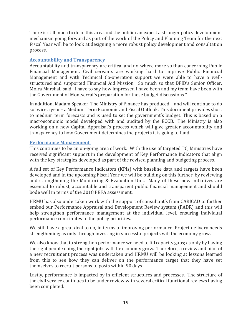There is still much to do in this area and the public can expect a stronger policy development mechanism going forward as part of the work of the Policy and Planning Team for the next Fiscal Year will be to look at designing a more robust policy development and consultation process.

#### <span id="page-18-0"></span>**Accountability and Transparency**

Accountability and transparency are critical and no-where more so than concerning Public Financial Management. Civil servants are working hard to improve Public Financial Management and with Technical Co-operation support we were able to have a wellstructured and supported Financial Aid Mission. So much so that DFID's Senior Officer, Moira Marshall said "I have to say how impressed I have been and my team have been with the Government of Montserrat's preparation for these budget discussions."

In addition, Madam Speaker, The Ministry of Finance has produced – and will continue to do so twice a year – a Medium Term Economic and Fiscal Outlook. This document provides short to medium term forecasts and is used to set the government's budget. This is based on a macroeconomic model developed with and audited by the ECCB. The Ministry is also working on a new Capital Appraisal's process which will give greater accountability and transparency to how Government determines the projects it is going to fund.

#### <span id="page-18-1"></span>**Performance Management**

This continues to be an on-going area of work. With the use of targeted TC, Ministries have received significant support in the development of Key Performance Indicators that align with the key strategies developed as part of the revised planning and budgeting process.

A full set of Key Performance Indicators (KPIs) with baseline data and targets have been developed and in the upcoming Fiscal Year we will be building on this further, by reviewing and strengthening the Monitoring & Evaluation Unit. Many of these new initiatives are essential to robust, accountable and transparent public financial management and should bode well in terms of the 2018 PEFA assessment.

HRMU has also undertaken work with the support of consultant's from CARICAD to further embed our Performance Appraisal and Development Review system (PADR) and this will help strengthen performance management at the individual level, ensuring individual performance contributes to the policy priorities.

We still have a great deal to do, in terms of improving performance. Project delivery needs strengthening; as only through investing in successful projects will the economy grow.

We also know that to strengthen performance we need to fill capacity gaps; as only by having the right people doing the right jobs will the economy grow. Therefore, a review and pilot of a new recruitment process was undertaken and HRMU will be looking at lessons learned from this to see how they can deliver on the performance target that they have set themselves to recruit persons to posts within 90 days.

Lastly, performance is impacted by in-efficient structures and processes. The structure of the civil service continues to be under review with several critical functional reviews having been completed.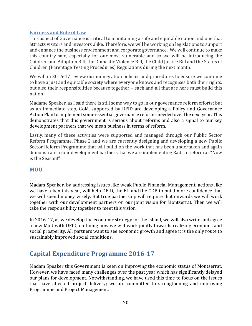#### <span id="page-19-0"></span>**Fairness and Rule of Law**

This aspect of Governance is critical to maintaining a safe and equitable nation and one that attracts visitors and investors alike. Therefore, we will be working on legislations to support and enhance the business environment and corporate governance. We will continue to make this country safe, especially for our most vulnerable and so we will be introducing the Children and Adoption Bill, the Domestic Violence Bill, the Child Justice Bill and the Status of Children (Parentage Testing Procedures) Regulations during the next month.

We will in 2016-17 review our immigration policies and procedures to ensure we continue to have a just and equitable society where everyone knows and recognises both their rights, but also their responsibilities because together – each and all that are here must build this nation.

Madame Speaker, as I said there is still some way to go in our governance reform efforts; but as an immediate step, GoM, supported by DFID are developing a Policy and Governance Action Plan to implement some essential governance reforms needed over the next year. This demonstrates that this government is serious about reforms and also a signal to our key development partners that we mean business in terms of reform.

Lastly, many of these activities were supported and managed through our Public Sector Reform Programme, Phase 2 and we are currently designing and developing a new Public Sector Reform Programme that will build on the work that has been undertaken and again demonstrate to our development partners that we are implementing Radical reform as "Now is the Season!"

#### <span id="page-19-1"></span>**MOU**

Madam Speaker, by addressing issues like weak Public Financial Management, actions like we have taken this year, will help DFID, the EU and the CDB to build more confidence that we will spend money wisely. But true partnership will require that onwards we will work together with our development partners on our joint vision for Montserrat. Then we will take the responsibility together to meet this vision.

In 2016-17, as we develop the economic strategy for the Island, we will also write and agree a new MoU with DFID, outlining how we will work jointly towards realizing economic and social prosperity. All partners want to see economic growth and agree it is the only route to sustainably improved social conditions.

## <span id="page-19-2"></span>**Capital Expenditure Programme 2016-17**

Madam Speaker this Government is keen on improving the economic status of Montserrat. However, we have faced many challenges over the past year which has significantly delayed our plans for development. Notwithstanding, we have used this time to focus on the issues that have affected project delivery; we are committed to strengthening and improving Programme and Project Management.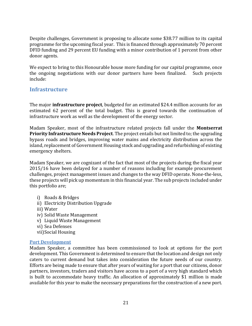Despite challenges, Government is proposing to allocate some \$38.77 million to its capital programme for the upcoming fiscal year. This is financed through approximately 70 percent DFID funding and 29 percent EU funding with a minor contribution of 1 percent from other donor agents.

We expect to bring to this Honourable house more funding for our capital programme, once the ongoing negotiations with our donor partners have been finalized. Such projects include:

#### <span id="page-20-0"></span>**Infrastructure**

The major **infrastructure project**, budgeted for an estimated \$24.4 million accounts for an estimated 62 percent of the total budget. This is geared towards the continuation of infrastructure work as well as the development of the energy sector.

Madam Speaker, most of the infrastructure related projects fall under the **Montserrat Priority Infrastructure Needs Project**. The project entails but not limited to; the upgrading bypass roads and bridges, improving water mains and electricity distribution across the island, replacement of Government Housing stock and upgrading and refurbishing of existing emergency shelters.

Madam Speaker, we are cognizant of the fact that most of the projects during the fiscal year 2015/16 have been delayed for a number of reasons including for example procurement challenges, project management issues and changes to the way DFID operate. None-the-less, these projects will pick up momentum in this financial year. The sub projects included under this portfolio are;

- i) Roads & Bridges
- ii) Electricity Distribution Upgrade
- iii) Water
- iv) Solid Waste Management
- v) Liquid Waste Management
- vi) Sea Defenses
- vii)Social Housing

#### <span id="page-20-1"></span>**Port Development**

Madam Speaker, a committee has been commissioned to look at options for the port development. This Government is determined to ensure that the location and design not only caters to current demand but takes into consideration the future needs of our country. Efforts are being made to ensure that after years of waiting for a port that our citizens, donor partners, investors, traders and visitors have access to a port of a very high standard which is built to accommodate heavy traffic. An allocation of approximately \$1 million is made available for this year to make the necessary preparations for the construction of a new port.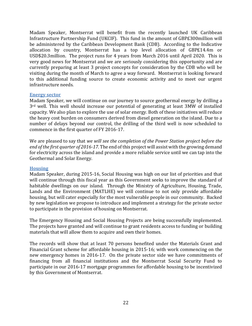Madam Speaker, Montserrat will benefit from the recently launched UK Caribbean Infrastructure Partnership Fund (UKCIF). This fund in the amount of GBP£300million will be administered by the Caribbean Development Bank (CDB). According to the Indicative allocation by country, Montserrat has a top level allocation of GBP£14.4m or USD\$20.3million. The project runs for 4 years from March 2016 until April 2020. This is very good news for Montserrat and we are seriously considering this opportunity and are currently preparing at least 3 project concepts for consideration by the CDB who will be visiting during the month of March to agree a way forward. Montserrat is looking forward to this additional funding source to create economic activity and to meet our urgent infrastructure needs.

#### <span id="page-21-0"></span>**Energy sector**

Madam Speaker, we will continue on our journey to source geothermal energy by drilling a 3<sup>rd</sup> well. This well should increase our potential of generating at least 3MW of installed capacity. We also plan to explore the use of solar energy. Both of these initiatives will reduce the heavy cost burden on consumers derived from diesel generation on the island. Due to a number of delays beyond our control, the drilling of the third well is now scheduled to commence in the first quarter of FY 2016-17.

We are pleased to say that *we will see the completion of the Power Station project before the end of the first quarter of 2016-17*. The end of this project will assist with the growing demand for electricity across the island and provide a more reliable service until we can tap into the Geothermal and Solar Energy.

#### <span id="page-21-1"></span>**Housing**

Madam Speaker, during 2015-16, Social Housing was high on our list of priorities and that will continue through this fiscal year as this Government seeks to improve the standard of habitable dwellings on our island. Through the Ministry of Agriculture, Housing, Trade, Lands and the Environment (MATLHE) we will continue to not only provide affordable housing, but will cater especially for the most vulnerable people in our community. Backed by new legislation we propose to introduce and implement a strategy for the private sector to participate in the provision of housing on Montserrat.

The Emergency Housing and Social Housing Projects are being successfully implemented. The projects have granted and will continue to grant residents access to funding or building materials that will allow them to acquire and own their homes.

The records will show that at least 70 persons benefited under the Materials Grant and Financial Grant scheme for affordable housing in 2015-16; with work commencing on the new emergency homes in 2016-17. On the private sector side we have commitments of financing from all financial institutions and the Montserrat Social Security Fund to participate in our 2016-17 mortgage programmes for affordable housing to be incentivized by this Government of Montserrat.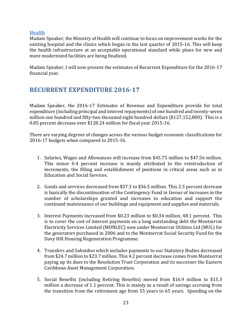#### <span id="page-22-0"></span>**Health**

Madam Speaker, the Ministry of Health will continue to focus on improvement works for the existing hospital and the clinics which began in the last quarter of 2015-16. This will keep the health infrastructure at an acceptable operational standard while plans for new and more modernized facilities are being finalized.

Madam Speaker, I will now present the estimates of Recurrent Expenditure for the 2016-17 financial year.

## <span id="page-22-1"></span>**RECURRENT EXPENDITURE 2016-17**

Madam Speaker, the 2016-17 Estimates of Revenue and Expenditure provide for total expenditure (including principal and interest repayments) of one hundred and twenty-seven million one hundred and fifty-two thousand eight hundred dollars (\$127,152,800). This is a 0.85 percent decrease over \$128.24 million for fiscal year 2015-16.

There are varying degrees of changes across the various budget economic classifications for 2016-17 budgets when compared to 2015-16.

- 1. Salaries, Wages and Allowances will increase from \$45.75 million to \$47.56 million. This minor 0.4 percent increase is mainly attributed to the reintroduction of increments, the filling and establishment of positions in critical areas such as in Education and Social Services.
- 2. Goods and services decreased from \$37.3 to \$36.5 million. This 2.3 percent decrease is basically the discontinuation of the Contingency Fund in favour of increases in the number of scholarships granted and increases to education and support the continued maintenance of our buildings and equipment and supplies and materials.
- 3. Interest Payments increased from \$0.23 million to \$0.34 million, 48.1 percent. This is to cover the cost of interest payments on a long outstanding debt the Montserrat Electricity Services Limited (MONLEC) now under Montserrat Utilities Ltd (MUL) for the generators purchased in 2006 and to the Montserrat Social Security Fund for the Davy Hill Housing Regeneration Programme.
- 4. Transfers and Subsidies which includes payments to our Statutory Bodies decreased from \$24.7 million to \$23.7 million. This 4.2 percent decrease comes from Montserrat paying up its dues to the Resolution Trust Corporation and its successor the Eastern Caribbean Asset Management Corporation.
- 5. Social Benefits (including Retiring Benefits) moved from \$16.9 million to \$15.3 million a decrease of 1.1 percent. This is mainly as a result of savings accruing from the transition from the retirement age from 55 years to 65 years. Spending on the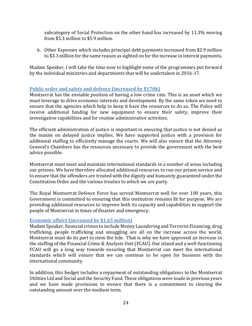subcategory of Social Protection on the other hand has increased by 11.3% moving from \$5.3 million to \$5.9 million.

6. Other Expenses which includes principal debt payments increased from \$2.9 million to \$3.3 million for the same reason as sighted on for the increase in interest payments.

Madam Speaker, I will take the time now to highlight some of the programmes put forward by the individual ministries and departments that will be undertaken in 2016-17.

#### <span id="page-23-0"></span>**Public order and safety and defence (increased by \$170k)**

Montserrat has the enviable position of having a low crime rate. This is an asset which we must leverage to drive economic interests and development. By the same token we need to ensure that the agencies which help to keep it have the resources to do so. The Police will receive additional funding for new equipment to ensure their safety, improve their investigative capabilities and for routine administrative activities.

The efficient administration of justice is important in ensuring that justice is not denied as the maxim on delayed justice implies. We have supported justice with a provision for additional staffing to efficiently manage the courts. We will also ensure that the Attorney General's Chambers has the resources necessary to provide the government with the best advice possible.

Montserrat must meet and maintain international standards in a number of areas including our prisons. We have therefore allocated additional resources to run our prison service and to ensure that the offenders are treated with the dignity and humanity guaranteed under the Constitution Order and the various treaties to which we are party.

The Royal Montserrat Defence Force has served Montserrat well for over 100 years, this Government is committed to ensuring that this institution remains fit for purpose. We are providing additional resources to improve both its capacity and capabilities to support the people of Montserrat in times of disaster and emergency.

#### <span id="page-23-1"></span>**Economic affairs (increased by \$1.65 million)**

Madam Speaker, financial crimes to include Money Laundering and Terrorist Financing, drug trafficking, people trafficking and smuggling are all on the increase across the world. Montserrat must do its part to stem the tide. That is why we have approved an increase in the staffing of the Financial Crime & Analysis Unit (FCAU). Our island and a well-functioning FCAU will go a long way towards ensuring that Montserrat can meet the international standards which will ensure that we can continue to be open for business with the international community.

In addition, this budget includes a repayment of outstanding obligations to the Montserrat Utilities Ltd and Social and the Security Fund. These obligations were made in previous years and we have made provisions to ensure that there is a commitment to clearing the outstanding amount over the medium term.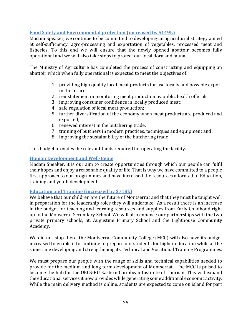#### <span id="page-24-0"></span>**Food Safety and Environmental protection (increased by \$149k)**

Madam Speaker, we continue to be committed to developing an agricultural strategy aimed at self-sufficiency, agro-processing and exportation of vegetables, processed meat and fisheries. To this end we will ensure that the newly opened abattoir becomes fully operational and we will also take steps to protect our local flora and fauna.

The Ministry of Agriculture has completed the process of constructing and equipping an abattoir which when fully operational is expected to meet the objectives of:

- 1. providing high quality local meat products for use locally and possible export in the future;
- 2. reinstatement in monitoring meat production by public health officials;
- 3. improving consumer confidence in locally produced meat;
- 4. safe regulation of local meat production;
- 5. further diversification of the economy when meat products are produced and exported;
- 6. renewed interest in the butchering trade;
- 7. training of butchers in modern practices, techniques and equipment and
- 8. improving the sustainability of the butchering trade

This budget provides the relevant funds required for operating the facility.

#### <span id="page-24-1"></span>**Human Development and Well-Being**

Madam Speaker, it is our aim to create opportunities through which our people can fulfil their hopes and enjoy a reasonable quality of life. That is why we have committed to a people first approach to our programmes and have increased the resources allocated to Education, training and youth development.

#### <span id="page-24-2"></span>**Education and Training (increased by \$718k)**

We believe that our children are the future of Montserrat and that they must be taught well in preparation for the leadership roles they will undertake. As a result there is an increase in the budget for teaching and learning resources and supplies from Early Childhood right up to the Monserrat Secondary School. We will also enhance our partnerships with the two private primary schools, St. Augustine Primary School and the Lighthouse Community Academy.

We did not stop there, the Montserrat Community College (MCC) will also have its budget increased to enable it to continue to prepare our students for higher education while at the same time developing and strengthening its Technical and Vocational Training Programmes.

We must prepare our people with the range of skills and technical capabilities needed to provide for the medium and long term development of Montserrat. The MCC is poised to become the hub for the OECS-EU Eastern Caribbean Institute of Tourism. This will expand the educational services it now provides while generating some additional economic activity. While the main delivery method is online, students are expected to come on island for part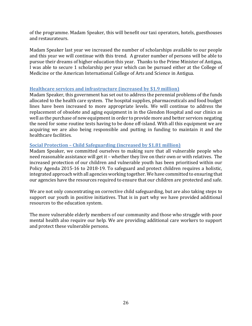of the programme. Madam Speaker, this will benefit our taxi operators, hotels, guesthouses and restaurateurs.

Madam Speaker last year we increased the number of scholarships available to our people and this year we will continue with this trend. A greater number of persons will be able to pursue their dreams of higher education this year. Thanks to the Prime Minister of Antigua, I was able to secure 1 scholarship per year which can be pursued either at the College of Medicine or the American International College of Arts and Science in Antigua.

#### <span id="page-25-0"></span>**Healthcare services and infrastructure (increased by \$1.9 million)**

Madam Speaker, this government has set out to address the perennial problems of the funds allocated to the health care system. The hospital supplies, pharmaceuticals and food budget lines have been increased to more appropriate levels. We will continue to address the replacement of obsolete and aging equipment in in the Glendon Hospital and our clinics as well as the purchase of new equipment in order to provide more and better services negating the need for some routine tests having to be done off-island. With all this equipment we are acquiring we are also being responsible and putting in funding to maintain it and the healthcare facilities.

#### <span id="page-25-1"></span>**Social Protection – Child Safeguarding (increased by \$1.81 million)**

Madam Speaker, we committed ourselves to making sure that all vulnerable people who need reasonable assistance will get it – whether they live on their own or with relatives. The increased protection of our children and vulnerable youth has been prioritised within our Policy Agenda 2015-16 to 2018-19. To safeguard and protect children requires a holistic, integrated approach with all agencies working together. We have committed to ensuring that our agencies have the resources required to ensure that our children are protected and safe.

We are not only concentrating on corrective child safeguarding, but are also taking steps to support our youth in positive initiatives. That is in part why we have provided additional resources to the education system.

The more vulnerable elderly members of our community and those who struggle with poor mental health also require our help. We are providing additional care workers to support and protect these vulnerable persons.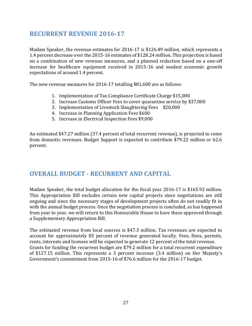## <span id="page-26-0"></span>**RECURRENT REVENUE 2016-17**

Madam Speaker, the revenue estimates for 2016-17 is \$126.49 million, which represents a 1.4 percent decrease over the 2015-16 estimates of \$128.24 million. This projection is based on a combination of new revenue measures, and a planned reduction based on a one-off increase for healthcare equipment received in 2015-16 and modest economic growth expectations of around 1.4 percent.

The new revenue measures for 2016-17 totalling \$81,600 are as follows:

- 1. Implementation of Tax Compliance Certificate Charge \$15,000
- 2. Increase Customs Officer Fees to cover quarantine service by \$37,000
- 3. Implementation of Livestock Slaughtering Fees \$20,000
- 4. Increase in Planning Application Fees \$600
- 5. Increase in Electrical Inspection Fees \$9,000

An estimated \$47.27 million (37.4 percent of total recurrent revenue), is projected to come from domestic revenues. Budget Support is expected to contribute \$79.22 million or 62.6 percent.

## <span id="page-26-1"></span>**OVERALL BUDGET - RECURRENT AND CAPITAL**

Madam Speaker, the total budget allocation for the fiscal year 2016-17 is \$165.92 million. This Appropriation Bill excludes certain new capital projects since negotiations are still ongoing and since the necessary stages of development projects often do not readily fit in with the annual budget process. Once the negotiation process is concluded, as has happened from year to year, we will return to this Honourable House to have these approved through a Supplementary Appropriation Bill.

The estimated revenue from local sources is \$47.3 million. Tax revenues are expected to account for approximately 83 percent of revenue generated locally. Fees, fines, permits, rents, interests and licenses will be expected to generate 12 percent of the total revenue. Grants for funding the recurrent budget are \$79.2 million for a total recurrent expenditure of \$127.15 million. This represents a 3 percent increase (3.4 million) on Her Majesty's Government's commitment from 2015-16 of \$76.6 million for the 2016-17 budget.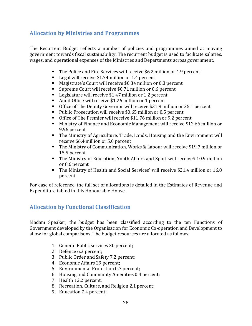## <span id="page-27-0"></span>**Allocation by Ministries and Programmes**

The Recurrent Budget reflects a number of policies and programmes aimed at moving government towards fiscal sustainability. The recurrent budget is used to facilitate salaries, wages, and operational expenses of the Ministries and Departments across government.

- The Police and Fire Services will receive \$6.2 million or 4.9 percent
- Legal will receive \$1.74 million or 1.4 percent
- Magistrate's Court will receive \$0.34 million or 0.3 percent
- Supreme Court will receive \$0.71 million or 0.6 percent
- Legislature will receive \$1.47 million or 1.2 percent
- Audit Office will receive \$1.26 million or 1 percent
- Office of The Deputy Governor will receive \$31.9 million or 25.1 percent
- Public Prosecution will receive \$0.65 million or 0.5 percent
- Office of The Premier will receive \$11.76 million or 9.2 percent
- Ministry of Finance and Economic Management will receive \$12.66 million or 9.96 percent
- The Ministry of Agriculture, Trade, Lands, Housing and the Environment will receive \$6.4 million or 5.0 percent
- The Ministry of Communication, Works & Labour will receive \$19.7 million or 15.5 percent
- The Ministry of Education, Youth Affairs and Sport will receive\$ 10.9 million or 8.6 percent
- The Ministry of Health and Social Services' will receive \$21.4 million or 16.8 percent

For ease of reference, the full set of allocations is detailed in the Estimates of Revenue and Expenditure tabled in this Honourable House.

## <span id="page-27-1"></span>**Allocation by Functional Classification**

Madam Speaker, the budget has been classified according to the ten Functions of Government developed by the Organisation for Economic Co-operation and Development to allow for global comparisons. The budget resources are allocated as follows:

- 1. General Public services 30 percent;
- 2. Defence 6.3 percent;
- 3. Public Order and Safety 7.2 percent;
- 4. Economic Affairs 29 percent;
- 5. Environmental Protection 0.7 percent;
- 6. Housing and Community Amenities 0.4 percent;
- 7. Health 12.2 percent;
- 8. Recreation, Culture, and Religion 2.1 percent;
- 9. Education 7.4 percent;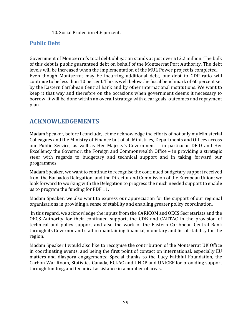10. Social Protection 4.6 percent.

#### <span id="page-28-0"></span>**Public Debt**

Government of Montserrat's total debt obligation stands at just over \$12.2 million. The bulk of this debt is public guaranteed debt on behalf of the Montserrat Port Authority. The debt levels will be increased when the implementation of the MUL Power project is completed. Even though Montserrat may be incurring additional debt, our debt to GDP ratio will continue to be less than 10 percent. This is well below the fiscal benchmark of 60 percent set by the Eastern Caribbean Central Bank and by other international institutions. We want to keep it that way and therefore on the occasions when government deems it necessary to borrow, it will be done within an overall strategy with clear goals, outcomes and repayment plan.

## <span id="page-28-1"></span>**ACKNOWLEDGEMENTS**

Madam Speaker, before I conclude, let me acknowledge the efforts of not only my Ministerial Colleagues and the Ministry of Finance but of all Ministries, Departments and Offices across our Public Service, as well as Her Majesty's Government – in particular DFID and Her Excellency the Governor, the Foreign and Commonwealth Office – in providing a strategic steer with regards to budgetary and technical support and in taking forward our programmes.

Madam Speaker, we want to continue to recognise the continued budgetary support received from the Barbados Delegation, and the Director and Commission of the European Union; we look forward to working with the Delegation to progress the much needed support to enable us to program the funding for EDF 11.

Madam Speaker, we also want to express our appreciation for the support of our regional organisations in providing a sense of stability and enabling greater policy coordination.

In this regard, we acknowledge the inputs from the CARICOM and OECS Secretariats and the OECS Authority for their continued support, the CDB and CARTAC in the provision of technical and policy support and also the work of the Eastern Caribbean Central Bank through its Governor and staff in maintaining financial, monetary and fiscal stability for the region.

Madam Speaker I would also like to recognise the contribution of the Montserrat UK Office in coordinating events, and being the first point of contact on international, especially EU matters and diaspora engagements; Special thanks to the Lucy Faithful Foundation, the Carbon War Room, Statistics Canada, ECLAC and UNDP and UNICEF for providing support through funding, and technical assistance in a number of areas.